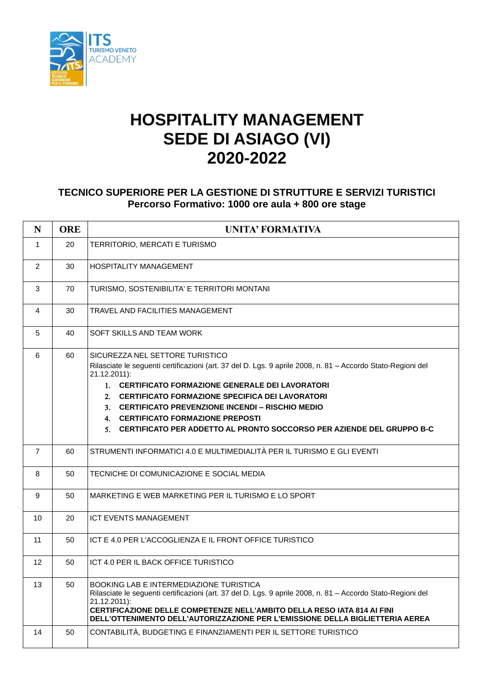

## **HOSPITALITY MANAGEMENT SEDE DI ASIAGO (VI) 2020-2022**

## **TECNICO SUPERIORE PER LA GESTIONE DI STRUTTURE E SERVIZI TURISTICI Percorso Formativo: 1000 ore aula + 800 ore stage**

| N               | <b>ORE</b> | <b>UNITA' FORMATIVA</b>                                                                                                                                                                                                                                                                                                                                                                                                                           |
|-----------------|------------|---------------------------------------------------------------------------------------------------------------------------------------------------------------------------------------------------------------------------------------------------------------------------------------------------------------------------------------------------------------------------------------------------------------------------------------------------|
| $\mathbf{1}$    | 20         | TERRITORIO, MERCATI E TURISMO                                                                                                                                                                                                                                                                                                                                                                                                                     |
| 2               | 30         | <b>HOSPITALITY MANAGEMENT</b>                                                                                                                                                                                                                                                                                                                                                                                                                     |
| 3               | 70         | TURISMO, SOSTENIBILITA' E TERRITORI MONTANI                                                                                                                                                                                                                                                                                                                                                                                                       |
| 4               | 30         | TRAVEL AND FACILITIES MANAGEMENT                                                                                                                                                                                                                                                                                                                                                                                                                  |
| 5               | 40         | SOFT SKILLS AND TEAM WORK                                                                                                                                                                                                                                                                                                                                                                                                                         |
| 6               | 60         | SICUREZZA NEL SETTORE TURISTICO<br>Rilasciate le seguenti certificazioni (art. 37 del D. Lgs. 9 aprile 2008, n. 81 - Accordo Stato-Regioni del<br>21.12.2011):<br>1. CERTIFICATO FORMAZIONE GENERALE DEI LAVORATORI<br>2. CERTIFICATO FORMAZIONE SPECIFICA DEI LAVORATORI<br>3. CERTIFICATO PREVENZIONE INCENDI – RISCHIO MEDIO<br>4. CERTIFICATO FORMAZIONE PREPOSTI<br>5. CERTIFICATO PER ADDETTO AL PRONTO SOCCORSO PER AZIENDE DEL GRUPPO B-C |
| $\overline{7}$  | 60         | STRUMENTI INFORMATICI 4.0 E MULTIMEDIALITÀ PER IL TURISMO E GLI EVENTI                                                                                                                                                                                                                                                                                                                                                                            |
| 8               | 50         | TECNICHE DI COMUNICAZIONE E SOCIAL MEDIA                                                                                                                                                                                                                                                                                                                                                                                                          |
| 9               | 50         | MARKETING E WEB MARKETING PER IL TURISMO E LO SPORT                                                                                                                                                                                                                                                                                                                                                                                               |
| 10              | 20         | <b>ICT EVENTS MANAGEMENT</b>                                                                                                                                                                                                                                                                                                                                                                                                                      |
| 11              | 50         | ICT E 4.0 PER L'ACCOGLIENZA E IL FRONT OFFICE TURISTICO                                                                                                                                                                                                                                                                                                                                                                                           |
| 12 <sup>2</sup> | 50         | ICT 4.0 PER IL BACK OFFICE TURISTICO                                                                                                                                                                                                                                                                                                                                                                                                              |
| 13              | 50         | BOOKING LAB E INTERMEDIAZIONE TURISTICA<br>Rilasciate le seguenti certificazioni (art. 37 del D. Lgs. 9 aprile 2008, n. 81 - Accordo Stato-Regioni del<br>21.12.2011):<br>CERTIFICAZIONE DELLE COMPETENZE NELL'AMBITO DELLA RESO IATA 814 AI FINI<br>DELL'OTTENIMENTO DELL'AUTORIZZAZIONE PER L'EMISSIONE DELLA BIGLIETTERIA AEREA                                                                                                                |
| 14              | 50         | CONTABILITÀ, BUDGETING E FINANZIAMENTI PER IL SETTORE TURISTICO                                                                                                                                                                                                                                                                                                                                                                                   |